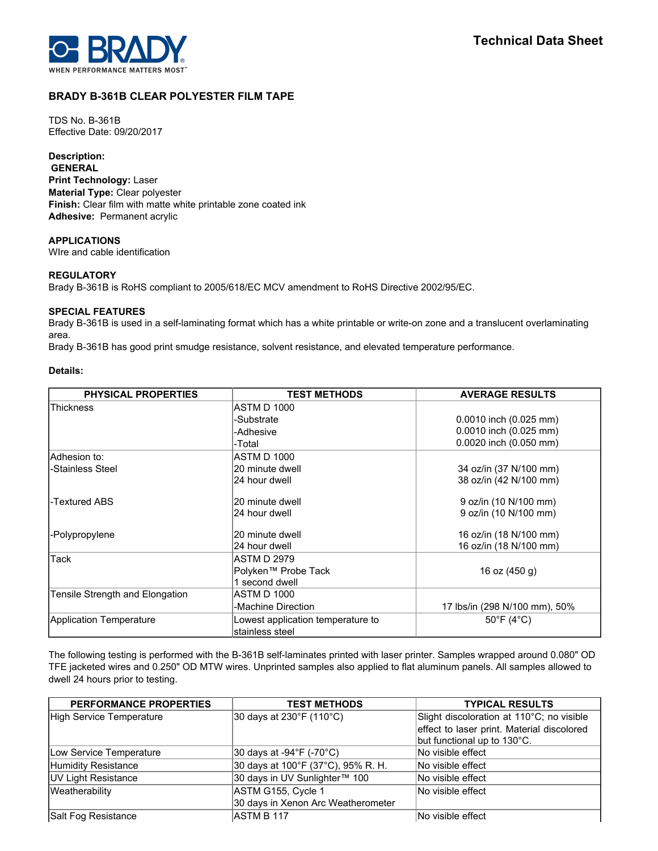

# **BRADY B-361B CLEAR POLYESTER FILM TAPE**

TDS No. B-361B Effective Date: 09/20/2017

## **Description:**

**GENERAL Print Technology:** Laser **Material Type:** Clear polyester **Finish:** Clear film with matte white printable zone coated ink **Adhesive:** Permanent acrylic

### **APPLICATIONS**

WIre and cable identification

## **REGULATORY**

Brady B-361B is RoHS compliant to 2005/618/EC MCV amendment to RoHS Directive 2002/95/EC.

### **SPECIAL FEATURES**

Brady B-361B is used in a self-laminating format which has a white printable or write-on zone and a translucent overlaminating area.

Brady B-361B has good print smudge resistance, solvent resistance, and elevated temperature performance.

### **Details:**

| <b>PHYSICAL PROPERTIES</b>      | <b>TEST METHODS</b>               | <b>AVERAGE RESULTS</b>          |  |  |
|---------------------------------|-----------------------------------|---------------------------------|--|--|
| Thickness                       | ASTM D 1000                       |                                 |  |  |
|                                 | -Substrate                        | $0.0010$ inch $(0.025$ mm)      |  |  |
|                                 | -Adhesive                         | 0.0010 inch (0.025 mm)          |  |  |
|                                 | -Total                            | 0.0020 inch (0.050 mm)          |  |  |
| lAdhesion to:                   | <b>ASTM D 1000</b>                |                                 |  |  |
| -Stainless Steel                | 20 minute dwell                   | 34 oz/in (37 N/100 mm)          |  |  |
|                                 | 24 hour dwell                     | 38 oz/in (42 N/100 mm)          |  |  |
| -Textured ABS                   | 20 minute dwell                   | 9 oz/in (10 N/100 mm)           |  |  |
|                                 | 24 hour dwell                     | 9 oz/in (10 N/100 mm)           |  |  |
| -Polypropylene                  | 20 minute dwell                   | 16 oz/in (18 N/100 mm)          |  |  |
|                                 | 24 hour dwell                     | 16 oz/in (18 N/100 mm)          |  |  |
| Tack                            | ASTM D 2979                       |                                 |  |  |
|                                 | Polyken™ Probe Tack               | 16 oz (450 g)                   |  |  |
|                                 | 1 second dwell                    |                                 |  |  |
| Tensile Strength and Elongation | ASTM D 1000                       |                                 |  |  |
|                                 | -Machine Direction                | 17 lbs/in (298 N/100 mm), 50%   |  |  |
| Application Temperature         | Lowest application temperature to | $50^{\circ}$ F (4 $^{\circ}$ C) |  |  |
|                                 | stainless steel                   |                                 |  |  |

The following testing is performed with the B-361B self-laminates printed with laser printer. Samples wrapped around 0.080" OD TFE jacketed wires and 0.250" OD MTW wires. Unprinted samples also applied to flat aluminum panels. All samples allowed to dwell 24 hours prior to testing.

| <b>PERFORMANCE PROPERTIES</b> | <b>TEST METHODS</b>                | <b>TYPICAL RESULTS</b>                     |
|-------------------------------|------------------------------------|--------------------------------------------|
| High Service Temperature      | 30 days at 230°F (110°C)           | Slight discoloration at 110°C; no visible  |
|                               |                                    | effect to laser print. Material discolored |
|                               |                                    | but functional up to 130°C.                |
| Low Service Temperature       | 30 days at -94°F (-70°C)           | No visible effect                          |
| Humidity Resistance           | 30 days at 100°F (37°C), 95% R. H. | No visible effect                          |
| <b>UV Light Resistance</b>    | 30 days in UV Sunlighter™ 100      | No visible effect                          |
| Weatherability                | ASTM G155, Cycle 1                 | No visible effect                          |
|                               | 30 days in Xenon Arc Weatherometer |                                            |
| Salt Fog Resistance           | ASTM B 117                         | No visible effect                          |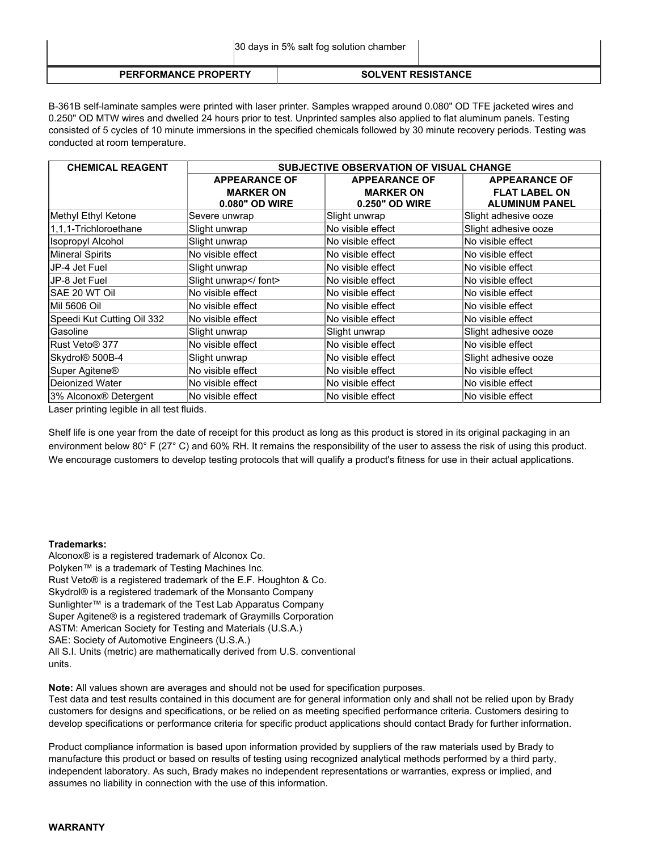|                             | 30 days in 5% salt fog solution chamber |                           |  |  |  |
|-----------------------------|-----------------------------------------|---------------------------|--|--|--|
| <b>PERFORMANCE PROPERTY</b> |                                         | <b>SOLVENT RESISTANCE</b> |  |  |  |

B-361B self-laminate samples were printed with laser printer. Samples wrapped around 0.080" OD TFE jacketed wires and 0.250" OD MTW wires and dwelled 24 hours prior to test. Unprinted samples also applied to flat aluminum panels. Testing consisted of 5 cycles of 10 minute immersions in the specified chemicals followed by 30 minute recovery periods. Testing was conducted at room temperature.

| <b>CHEMICAL REAGENT</b>           | <b>SUBJECTIVE OBSERVATION OF VISUAL CHANGE</b> |                      |                       |  |  |
|-----------------------------------|------------------------------------------------|----------------------|-----------------------|--|--|
|                                   | <b>APPEARANCE OF</b>                           | <b>APPEARANCE OF</b> | <b>APPEARANCE OF</b>  |  |  |
|                                   | <b>MARKER ON</b>                               | <b>MARKER ON</b>     | <b>FLAT LABEL ON</b>  |  |  |
|                                   | 0.080" OD WIRE                                 | 0.250" OD WIRE       | <b>ALUMINUM PANEL</b> |  |  |
| Methyl Ethyl Ketone               | Severe unwrap                                  | Slight unwrap        | Slight adhesive ooze  |  |  |
| 1,1,1-Trichloroethane             | Slight unwrap                                  | No visible effect    | Slight adhesive ooze  |  |  |
| <b>Isopropyl Alcohol</b>          | Slight unwrap                                  | No visible effect    | No visible effect     |  |  |
| <b>Mineral Spirits</b>            | No visible effect                              | No visible effect    | No visible effect     |  |  |
| JP-4 Jet Fuel                     | Slight unwrap                                  | No visible effect    | No visible effect     |  |  |
| JP-8 Jet Fuel                     | Slight unwrap                                  | No visible effect    | No visible effect     |  |  |
| SAE 20 WT Oil                     | No visible effect                              | No visible effect    | No visible effect     |  |  |
| Mil 5606 Oil                      | No visible effect                              | No visible effect    | No visible effect     |  |  |
| Speedi Kut Cutting Oil 332        | No visible effect                              | No visible effect    | No visible effect     |  |  |
| Gasoline                          | Slight unwrap                                  | Slight unwrap        | Slight adhesive ooze  |  |  |
| Rust Veto® 377                    | No visible effect                              | No visible effect    | No visible effect     |  |  |
| Skydrol <sup>®</sup> 500B-4       | Slight unwrap                                  | No visible effect    | Slight adhesive ooze  |  |  |
| Super Agitene <sup>®</sup>        | No visible effect                              | No visible effect    | No visible effect     |  |  |
| Deionized Water                   | No visible effect                              | No visible effect    | No visible effect     |  |  |
| 3% Alconox <sup>®</sup> Detergent | No visible effect                              | No visible effect    | No visible effect     |  |  |

Laser printing legible in all test fluids.

Shelf life is one year from the date of receipt for this product as long as this product is stored in its original packaging in an environment below 80° F (27° C) and 60% RH. It remains the responsibility of the user to assess the risk of using this product. We encourage customers to develop testing protocols that will qualify a product's fitness for use in their actual applications.

### **Trademarks:**

Alconox® is a registered trademark of Alconox Co. Polyken™ is a trademark of Testing Machines Inc. Rust Veto® is a registered trademark of the E.F. Houghton & Co. Skydrol® is a registered trademark of the Monsanto Company Sunlighter™ is a trademark of the Test Lab Apparatus Company Super Agitene® is a registered trademark of Graymills Corporation ASTM: American Society for Testing and Materials (U.S.A.) SAE: Society of Automotive Engineers (U.S.A.) All S.I. Units (metric) are mathematically derived from U.S. conventional units.

**Note:** All values shown are averages and should not be used for specification purposes.

Test data and test results contained in this document are for general information only and shall not be relied upon by Brady customers for designs and specifications, or be relied on as meeting specified performance criteria. Customers desiring to develop specifications or performance criteria for specific product applications should contact Brady for further information.

Product compliance information is based upon information provided by suppliers of the raw materials used by Brady to manufacture this product or based on results of testing using recognized analytical methods performed by a third party, independent laboratory. As such, Brady makes no independent representations or warranties, express or implied, and assumes no liability in connection with the use of this information.